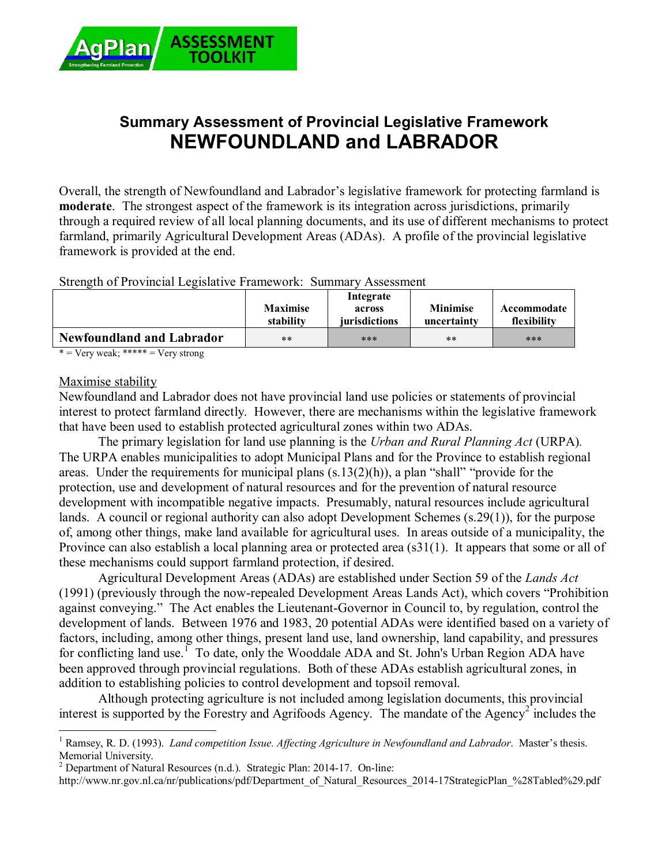

# **Summary Assessment of Provincial Legislative Framework NEWFOUNDLAND and LABRADOR**

Overall, the strength of Newfoundland and Labrador's legislative framework for protecting farmland is **moderate**. The strongest aspect of the framework is its integration across jurisdictions, primarily through a required review of all local planning documents, and its use of different mechanisms to protect farmland, primarily Agricultural Development Areas (ADAs). A profile of the provincial legislative framework is provided at the end.

Strength of Provincial Legislative Framework: Summary Assessment

| -<br>-                           | <b>Maximise</b><br>stability | Integrate<br>across<br><i>iurisdictions</i> | <b>Minimise</b><br>uncertainty | Accommodate<br>flexibility |
|----------------------------------|------------------------------|---------------------------------------------|--------------------------------|----------------------------|
| <b>Newfoundland and Labrador</b> | $***$                        | ***                                         | $***$                          | ***                        |

 $* = \text{Very weak};$  \*\*\*\*\* =  $\text{Very strong}$ 

#### Maximise stability

Newfoundland and Labrador does not have provincial land use policies or statements of provincial interest to protect farmland directly. However, there are mechanisms within the legislative framework that have been used to establish protected agricultural zones within two ADAs.

The primary legislation for land use planning is the *Urban and Rural Planning Act* (URPA)*.* The URPA enables municipalities to adopt Municipal Plans and for the Province to establish regional areas. Under the requirements for municipal plans (s.13(2)(h)), a plan "shall" "provide for the protection, use and development of natural resources and for the prevention of natural resource development with incompatible negative impacts. Presumably, natural resources include agricultural lands. A council or regional authority can also adopt Development Schemes (s.29(1)), for the purpose of, among other things, make land available for agricultural uses. In areas outside of a municipality, the Province can also establish a local planning area or protected area (s31(1). It appears that some or all of these mechanisms could support farmland protection, if desired.

Agricultural Development Areas (ADAs) are established under Section 59 of the *Lands Act* (1991) (previously through the now-repealed Development Areas Lands Act), which covers "Prohibition against conveying." The Act enables the Lieutenant-Governor in Council to, by regulation, control the development of lands. Between 1976 and 1983, 20 potential ADAs were identified based on a variety of factors, including, among other things, present land use, land ownership, land capability, and pressures for conflicting land use.<sup>1</sup> To date, only the Wooddale ADA and St. John's Urban Region ADA have been approved through provincial regulations. Both of these ADAs establish agricultural zones, in addition to establishing policies to control development and topsoil removal.

Although protecting agriculture is not included among legislation documents, this provincial interest is supported by the Forestry and Agrifoods Agency. The mandate of the Agency<sup>2</sup> includes the

 $\overline{a}$ <sup>1</sup> Ramsey, R. D. (1993). *Land competition Issue. Affecting Agriculture in Newfoundland and Labrador. Master's thesis.* Memorial University.

<sup>&</sup>lt;sup>2</sup> Department of Natural Resources (n.d.). Strategic Plan: 2014-17. On-line:

http://www.nr.gov.nl.ca/nr/publications/pdf/Department\_of\_Natural\_Resources\_2014-17StrategicPlan\_%28Tabled%29.pdf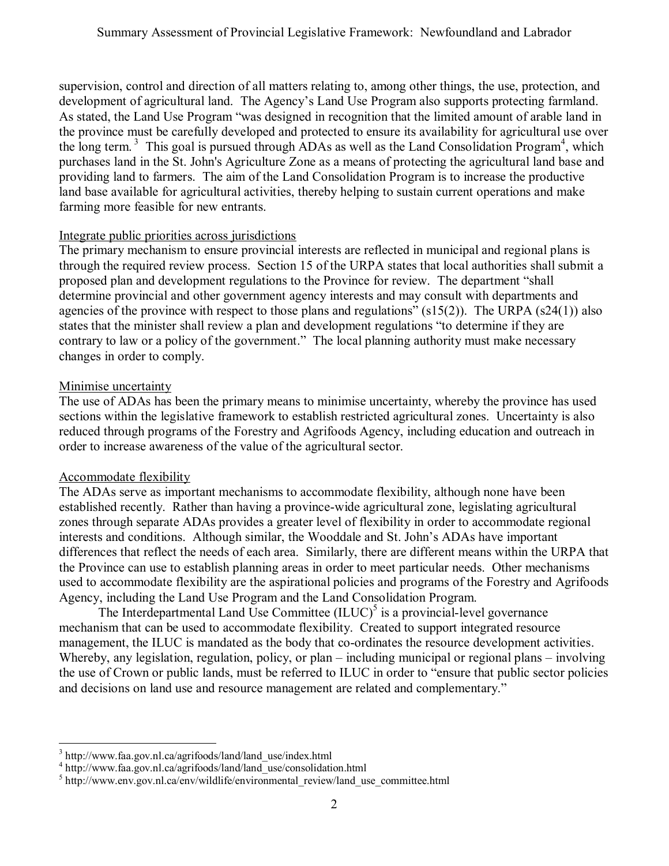supervision, control and direction of all matters relating to, among other things, the use, protection, and development of agricultural land. The Agency's Land Use Program also supports protecting farmland. As stated, the Land Use Program "was designed in recognition that the limited amount of arable land in the province must be carefully developed and protected to ensure its availability for agricultural use over the long term.<sup>3</sup> This goal is pursued through ADAs as well as the Land Consolidation Program<sup>4</sup>, which purchases land in the St. John's Agriculture Zone as a means of protecting the agricultural land base and providing land to farmers. The aim of the Land Consolidation Program is to increase the productive land base available for agricultural activities, thereby helping to sustain current operations and make farming more feasible for new entrants.

### Integrate public priorities across jurisdictions

The primary mechanism to ensure provincial interests are reflected in municipal and regional plans is through the required review process. Section 15 of the URPA states that local authorities shall submit a proposed plan and development regulations to the Province for review. The department "shall determine provincial and other government agency interests and may consult with departments and agencies of the province with respect to those plans and regulations" (s15(2)). The URPA (s24(1)) also states that the minister shall review a plan and development regulations "to determine if they are contrary to law or a policy of the government." The local planning authority must make necessary changes in order to comply.

### Minimise uncertainty

The use of ADAs has been the primary means to minimise uncertainty, whereby the province has used sections within the legislative framework to establish restricted agricultural zones. Uncertainty is also reduced through programs of the Forestry and Agrifoods Agency, including education and outreach in order to increase awareness of the value of the agricultural sector.

## Accommodate flexibility

The ADAs serve as important mechanisms to accommodate flexibility, although none have been established recently. Rather than having a province-wide agricultural zone, legislating agricultural zones through separate ADAs provides a greater level of flexibility in order to accommodate regional interests and conditions. Although similar, the Wooddale and St. John's ADAs have important differences that reflect the needs of each area. Similarly, there are different means within the URPA that the Province can use to establish planning areas in order to meet particular needs. Other mechanisms used to accommodate flexibility are the aspirational policies and programs of the Forestry and Agrifoods Agency, including the Land Use Program and the Land Consolidation Program.

The Interdepartmental Land Use Committee  $(ILUC)^5$  is a provincial-level governance mechanism that can be used to accommodate flexibility. Created to support integrated resource management, the ILUC is mandated as the body that co-ordinates the resource development activities. Whereby, any legislation, regulation, policy, or plan – including municipal or regional plans – involving the use of Crown or public lands, must be referred to ILUC in order to "ensure that public sector policies and decisions on land use and resource management are related and complementary."

 $\overline{a}$ <sup>3</sup> http://www.faa.gov.nl.ca/agrifoods/land/land\_use/index.html

<sup>4</sup> http://www.faa.gov.nl.ca/agrifoods/land/land\_use/consolidation.html

<sup>&</sup>lt;sup>5</sup> http://www.env.gov.nl.ca/env/wildlife/environmental\_review/land\_use\_committee.html